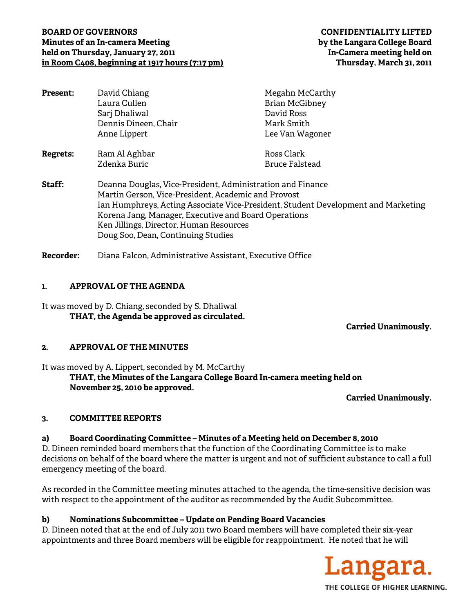# **BOARD OF GOVERNORS CONFIDENTIALITY LIFTED Minutes of an In-camera Meeting by the Langara College Board held on Thursday, January 27, 2011 In-Camera meeting held on in Room C408, beginning at 1917 hours (7:17 pm) Thursday, March 31, 2011**

| <b>Present:</b> | David Chiang                                                                                                                                                                         | Megahn McCarthy       |                                    |                                                          |
|-----------------|--------------------------------------------------------------------------------------------------------------------------------------------------------------------------------------|-----------------------|------------------------------------|----------------------------------------------------------|
|                 | Laura Cullen                                                                                                                                                                         | <b>Brian McGibney</b> |                                    |                                                          |
|                 | Sarj Dhaliwal                                                                                                                                                                        | David Ross            |                                    |                                                          |
|                 | Dennis Dineen, Chair                                                                                                                                                                 | Mark Smith            |                                    |                                                          |
|                 | Anne Lippert                                                                                                                                                                         | Lee Van Wagoner       |                                    |                                                          |
| <b>Regrets:</b> | Ram Al Aghbar                                                                                                                                                                        | Ross Clark            |                                    |                                                          |
|                 | Zdenka Buric                                                                                                                                                                         | <b>Bruce Falstead</b> |                                    |                                                          |
| Staff:          | Deanna Douglas, Vice-President, Administration and Finance<br>Martin Gerson, Vice-President, Academic and Provost                                                                    |                       |                                    |                                                          |
|                 | Ian Humphreys, Acting Associate Vice-President, Student Development and Marketing<br>Korena Jang, Manager, Executive and Board Operations<br>Ken Jillings, Director, Human Resources |                       |                                    |                                                          |
|                 |                                                                                                                                                                                      |                       | Doug Soo, Dean, Continuing Studies |                                                          |
|                 |                                                                                                                                                                                      |                       | <b>Recorder:</b>                   | Diana Falcon, Administrative Assistant, Executive Office |

### **1. APPROVAL OF THE AGENDA**

It was moved by D. Chiang, seconded by S. Dhaliwal **THAT, the Agenda be approved as circulated.** 

 **Carried Unanimously.** 

## **2. APPROVAL OF THE MINUTES**

It was moved by A. Lippert, seconded by M. McCarthy **THAT, the Minutes of the Langara College Board In-camera meeting held on November 25, 2010 be approved.** 

**Carried Unanimously.** 

## **3. COMMITTEE REPORTS**

## **a) Board Coordinating Committee – Minutes of a Meeting held on December 8, 2010**

D. Dineen reminded board members that the function of the Coordinating Committee is to make decisions on behalf of the board where the matter is urgent and not of sufficient substance to call a full emergency meeting of the board.

As recorded in the Committee meeting minutes attached to the agenda, the time-sensitive decision was with respect to the appointment of the auditor as recommended by the Audit Subcommittee.

## **b) Nominations Subcommittee – Update on Pending Board Vacancies**

D. Dineen noted that at the end of July 2011 two Board members will have completed their six-year appointments and three Board members will be eligible for reappointment. He noted that he will